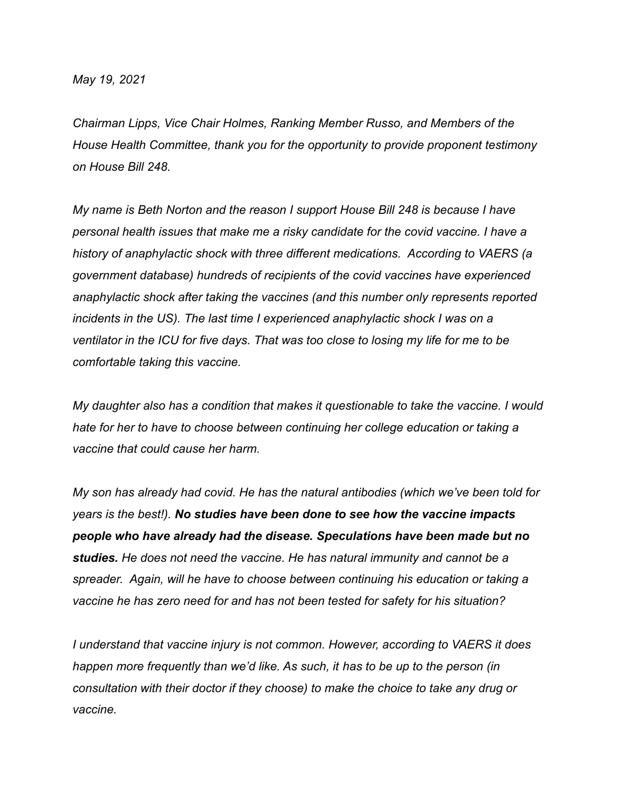*May 19, 2021*

*Chairman Lipps, Vice Chair Holmes, Ranking Member Russo, and Members of the House Health Committee, thank you for the opportunity to provide proponent testimony on House Bill 248.*

*My name is Beth Norton and the reason I support House Bill 248 is because I have personal health issues that make me a risky candidate for the covid vaccine. I have a history of anaphylactic shock with three different medications. According to VAERS (a government database) hundreds of recipients of the covid vaccines have experienced anaphylactic shock after taking the vaccines (and this number only represents reported incidents in the US). The last time I experienced anaphylactic shock I was on a ventilator in the ICU for five days. That was too close to losing my life for me to be comfortable taking this vaccine.*

*My daughter also has a condition that makes it questionable to take the vaccine. I would hate for her to have to choose between continuing her college education or taking a vaccine that could cause her harm.*

*My son has already had covid. He has the natural antibodies (which we've been told for years is the best!). No studies have been done to see how the vaccine impacts people who have already had the disease. Speculations have been made but no studies. He does not need the vaccine. He has natural immunity and cannot be a spreader. Again, will he have to choose between continuing his education or taking a vaccine he has zero need for and has not been tested for safety for his situation?*

*I understand that vaccine injury is not common. However, according to VAERS it does happen more frequently than we'd like. As such, it has to be up to the person (in consultation with their doctor if they choose) to make the choice to take any drug or vaccine.*